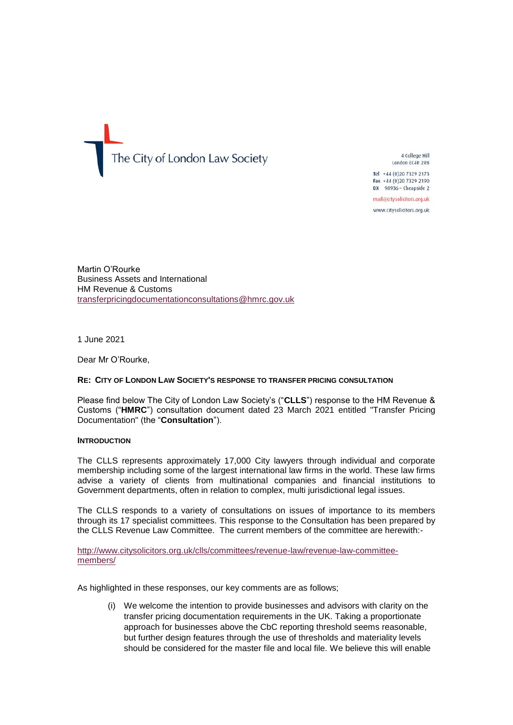The City of London Law Society

4 College Hill London EC4R 2RB

Tel +44 (0) 20 7329 2173 Fax +44 (0)20 7329 2190 DX 98936 - Cheapside 2

mail@citysolicitors.org.uk

www.citysolicitors.org.uk

Martin O'Rourke Business Assets and International HM Revenue & Customs [transferpricingdocumentationconsultations@hmrc.gov.uk](mailto:transferpricingdocumentationconsultations@hmrc.gov.uk)

1 June 2021

Dear Mr O'Rourke,

#### **RE: CITY OF LONDON LAW SOCIETY'S RESPONSE TO TRANSFER PRICING CONSULTATION**

Please find below The City of London Law Society's ("**CLLS**") response to the HM Revenue & Customs ("**HMRC**") consultation document dated 23 March 2021 entitled "Transfer Pricing Documentation" (the "**Consultation**").

#### **INTRODUCTION**

The CLLS represents approximately 17,000 City lawyers through individual and corporate membership including some of the largest international law firms in the world. These law firms advise a variety of clients from multinational companies and financial institutions to Government departments, often in relation to complex, multi jurisdictional legal issues.

The CLLS responds to a variety of consultations on issues of importance to its members through its 17 specialist committees. This response to the Consultation has been prepared by the CLLS Revenue Law Committee. The current members of the committee are herewith:-

[http://www.citysolicitors.org.uk/clls/committees/revenue-law/revenue-law-committee](http://www.citysolicitors.org.uk/clls/committees/revenue-law/revenue-law-committee-members/)[members/](http://www.citysolicitors.org.uk/clls/committees/revenue-law/revenue-law-committee-members/)

As highlighted in these responses, our key comments are as follows;

(i) We welcome the intention to provide businesses and advisors with clarity on the transfer pricing documentation requirements in the UK. Taking a proportionate approach for businesses above the CbC reporting threshold seems reasonable, but further design features through the use of thresholds and materiality levels should be considered for the master file and local file. We believe this will enable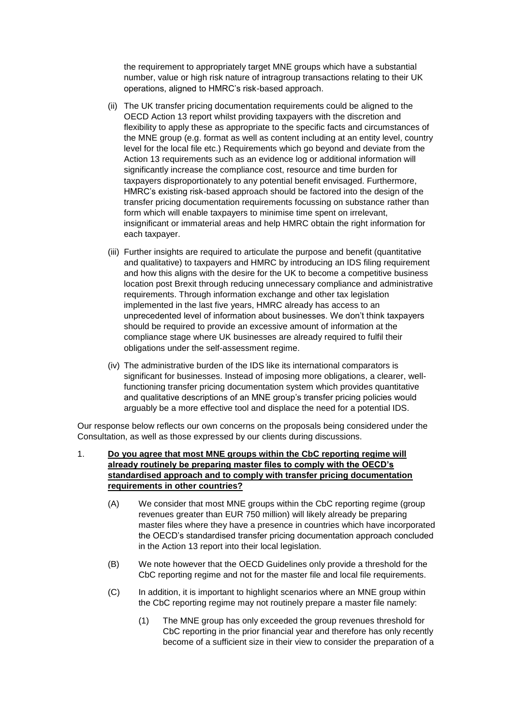the requirement to appropriately target MNE groups which have a substantial number, value or high risk nature of intragroup transactions relating to their UK operations, aligned to HMRC's risk-based approach.

- (ii) The UK transfer pricing documentation requirements could be aligned to the OECD Action 13 report whilst providing taxpayers with the discretion and flexibility to apply these as appropriate to the specific facts and circumstances of the MNE group (e.g. format as well as content including at an entity level, country level for the local file etc.) Requirements which go beyond and deviate from the Action 13 requirements such as an evidence log or additional information will significantly increase the compliance cost, resource and time burden for taxpayers disproportionately to any potential benefit envisaged. Furthermore, HMRC's existing risk-based approach should be factored into the design of the transfer pricing documentation requirements focussing on substance rather than form which will enable taxpayers to minimise time spent on irrelevant, insignificant or immaterial areas and help HMRC obtain the right information for each taxpayer.
- (iii) Further insights are required to articulate the purpose and benefit (quantitative and qualitative) to taxpayers and HMRC by introducing an IDS filing requirement and how this aligns with the desire for the UK to become a competitive business location post Brexit through reducing unnecessary compliance and administrative requirements. Through information exchange and other tax legislation implemented in the last five years, HMRC already has access to an unprecedented level of information about businesses. We don't think taxpayers should be required to provide an excessive amount of information at the compliance stage where UK businesses are already required to fulfil their obligations under the self-assessment regime.
- (iv) The administrative burden of the IDS like its international comparators is significant for businesses. Instead of imposing more obligations, a clearer, wellfunctioning transfer pricing documentation system which provides quantitative and qualitative descriptions of an MNE group's transfer pricing policies would arguably be a more effective tool and displace the need for a potential IDS.

Our response below reflects our own concerns on the proposals being considered under the Consultation, as well as those expressed by our clients during discussions.

- 1. **Do you agree that most MNE groups within the CbC reporting regime will already routinely be preparing master files to comply with the OECD's standardised approach and to comply with transfer pricing documentation requirements in other countries?**
	- (A) We consider that most MNE groups within the CbC reporting regime (group revenues greater than EUR 750 million) will likely already be preparing master files where they have a presence in countries which have incorporated the OECD's standardised transfer pricing documentation approach concluded in the Action 13 report into their local legislation.
	- (B) We note however that the OECD Guidelines only provide a threshold for the CbC reporting regime and not for the master file and local file requirements.
	- (C) In addition, it is important to highlight scenarios where an MNE group within the CbC reporting regime may not routinely prepare a master file namely:
		- (1) The MNE group has only exceeded the group revenues threshold for CbC reporting in the prior financial year and therefore has only recently become of a sufficient size in their view to consider the preparation of a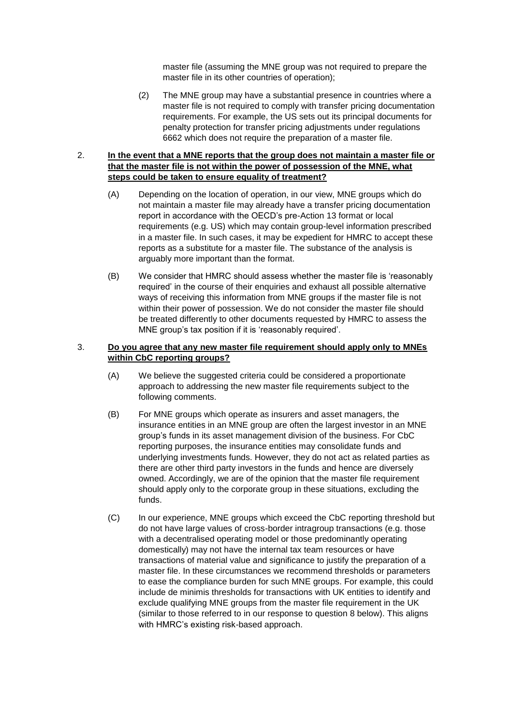master file (assuming the MNE group was not required to prepare the master file in its other countries of operation);

(2) The MNE group may have a substantial presence in countries where a master file is not required to comply with transfer pricing documentation requirements. For example, the US sets out its principal documents for penalty protection for transfer pricing adjustments under regulations 6662 which does not require the preparation of a master file.

# 2. **In the event that a MNE reports that the group does not maintain a master file or that the master file is not within the power of possession of the MNE, what steps could be taken to ensure equality of treatment?**

- (A) Depending on the location of operation, in our view, MNE groups which do not maintain a master file may already have a transfer pricing documentation report in accordance with the OECD's pre-Action 13 format or local requirements (e.g. US) which may contain group-level information prescribed in a master file. In such cases, it may be expedient for HMRC to accept these reports as a substitute for a master file. The substance of the analysis is arguably more important than the format.
- (B) We consider that HMRC should assess whether the master file is 'reasonably required' in the course of their enquiries and exhaust all possible alternative ways of receiving this information from MNE groups if the master file is not within their power of possession. We do not consider the master file should be treated differently to other documents requested by HMRC to assess the MNE group's tax position if it is 'reasonably required'.

#### 3. **Do you agree that any new master file requirement should apply only to MNEs within CbC reporting groups?**

- (A) We believe the suggested criteria could be considered a proportionate approach to addressing the new master file requirements subject to the following comments.
- (B) For MNE groups which operate as insurers and asset managers, the insurance entities in an MNE group are often the largest investor in an MNE group's funds in its asset management division of the business. For CbC reporting purposes, the insurance entities may consolidate funds and underlying investments funds. However, they do not act as related parties as there are other third party investors in the funds and hence are diversely owned. Accordingly, we are of the opinion that the master file requirement should apply only to the corporate group in these situations, excluding the funds.
- (C) In our experience, MNE groups which exceed the CbC reporting threshold but do not have large values of cross-border intragroup transactions (e.g. those with a decentralised operating model or those predominantly operating domestically) may not have the internal tax team resources or have transactions of material value and significance to justify the preparation of a master file. In these circumstances we recommend thresholds or parameters to ease the compliance burden for such MNE groups. For example, this could include de minimis thresholds for transactions with UK entities to identify and exclude qualifying MNE groups from the master file requirement in the UK (similar to those referred to in our response to question 8 below). This aligns with HMRC's existing risk-based approach.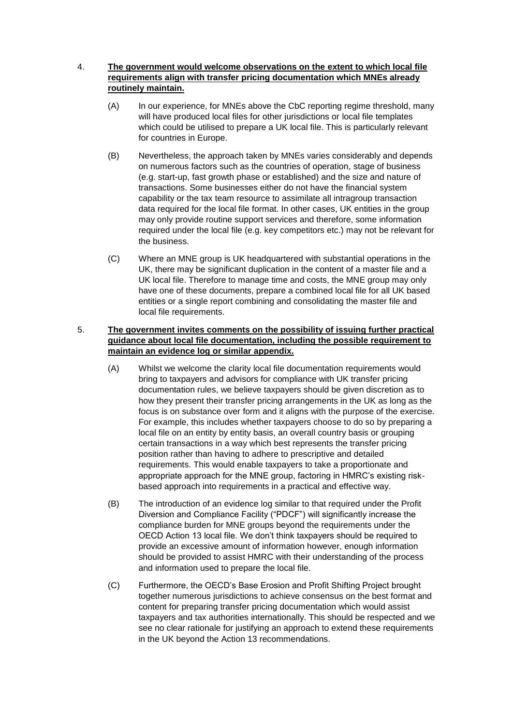# 4. **The government would welcome observations on the extent to which local file requirements align with transfer pricing documentation which MNEs already routinely maintain.**

- (A) In our experience, for MNEs above the CbC reporting regime threshold, many will have produced local files for other jurisdictions or local file templates which could be utilised to prepare a UK local file. This is particularly relevant for countries in Europe.
- (B) Nevertheless, the approach taken by MNEs varies considerably and depends on numerous factors such as the countries of operation, stage of business (e.g. start-up, fast growth phase or established) and the size and nature of transactions. Some businesses either do not have the financial system capability or the tax team resource to assimilate all intragroup transaction data required for the local file format. In other cases, UK entities in the group may only provide routine support services and therefore, some information required under the local file (e.g. key competitors etc.) may not be relevant for the business.
- (C) Where an MNE group is UK headquartered with substantial operations in the UK, there may be significant duplication in the content of a master file and a UK local file. Therefore to manage time and costs, the MNE group may only have one of these documents, prepare a combined local file for all UK based entities or a single report combining and consolidating the master file and local file requirements.

# 5. **The government invites comments on the possibility of issuing further practical guidance about local file documentation, including the possible requirement to maintain an evidence log or similar appendix.**

- (A) Whilst we welcome the clarity local file documentation requirements would bring to taxpayers and advisors for compliance with UK transfer pricing documentation rules, we believe taxpayers should be given discretion as to how they present their transfer pricing arrangements in the UK as long as the focus is on substance over form and it aligns with the purpose of the exercise. For example, this includes whether taxpayers choose to do so by preparing a local file on an entity by entity basis, an overall country basis or grouping certain transactions in a way which best represents the transfer pricing position rather than having to adhere to prescriptive and detailed requirements. This would enable taxpayers to take a proportionate and appropriate approach for the MNE group, factoring in HMRC's existing riskbased approach into requirements in a practical and effective way.
- (B) The introduction of an evidence log similar to that required under the Profit Diversion and Compliance Facility ("PDCF") will significantly increase the compliance burden for MNE groups beyond the requirements under the OECD Action 13 local file. We don't think taxpayers should be required to provide an excessive amount of information however, enough information should be provided to assist HMRC with their understanding of the process and information used to prepare the local file.
- (C) Furthermore, the OECD's Base Erosion and Profit Shifting Project brought together numerous jurisdictions to achieve consensus on the best format and content for preparing transfer pricing documentation which would assist taxpayers and tax authorities internationally. This should be respected and we see no clear rationale for justifying an approach to extend these requirements in the UK beyond the Action 13 recommendations.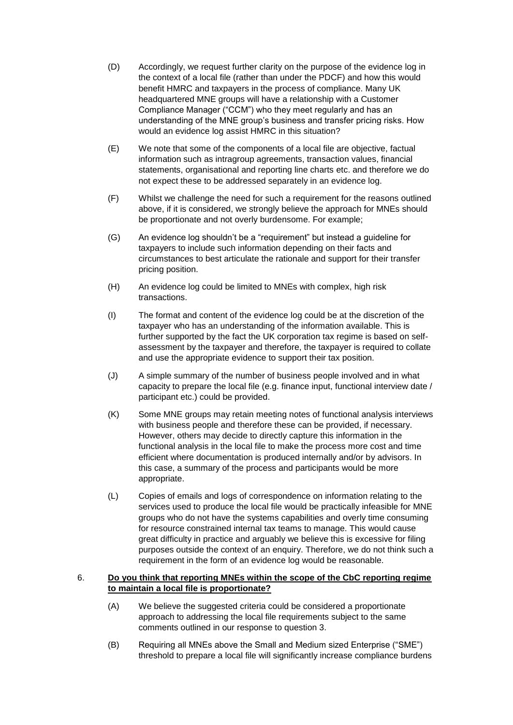- (D) Accordingly, we request further clarity on the purpose of the evidence log in the context of a local file (rather than under the PDCF) and how this would benefit HMRC and taxpayers in the process of compliance. Many UK headquartered MNE groups will have a relationship with a Customer Compliance Manager ("CCM") who they meet regularly and has an understanding of the MNE group's business and transfer pricing risks. How would an evidence log assist HMRC in this situation?
- (E) We note that some of the components of a local file are objective, factual information such as intragroup agreements, transaction values, financial statements, organisational and reporting line charts etc. and therefore we do not expect these to be addressed separately in an evidence log.
- (F) Whilst we challenge the need for such a requirement for the reasons outlined above, if it is considered, we strongly believe the approach for MNEs should be proportionate and not overly burdensome. For example;
- (G) An evidence log shouldn't be a "requirement" but instead a guideline for taxpayers to include such information depending on their facts and circumstances to best articulate the rationale and support for their transfer pricing position.
- (H) An evidence log could be limited to MNEs with complex, high risk transactions.
- (I) The format and content of the evidence log could be at the discretion of the taxpayer who has an understanding of the information available. This is further supported by the fact the UK corporation tax regime is based on selfassessment by the taxpayer and therefore, the taxpayer is required to collate and use the appropriate evidence to support their tax position.
- (J) A simple summary of the number of business people involved and in what capacity to prepare the local file (e.g. finance input, functional interview date / participant etc.) could be provided.
- (K) Some MNE groups may retain meeting notes of functional analysis interviews with business people and therefore these can be provided, if necessary. However, others may decide to directly capture this information in the functional analysis in the local file to make the process more cost and time efficient where documentation is produced internally and/or by advisors. In this case, a summary of the process and participants would be more appropriate.
- (L) Copies of emails and logs of correspondence on information relating to the services used to produce the local file would be practically infeasible for MNE groups who do not have the systems capabilities and overly time consuming for resource constrained internal tax teams to manage. This would cause great difficulty in practice and arguably we believe this is excessive for filing purposes outside the context of an enquiry. Therefore, we do not think such a requirement in the form of an evidence log would be reasonable.

### 6. **Do you think that reporting MNEs within the scope of the CbC reporting regime to maintain a local file is proportionate?**

- (A) We believe the suggested criteria could be considered a proportionate approach to addressing the local file requirements subject to the same comments outlined in our response to question 3.
- (B) Requiring all MNEs above the Small and Medium sized Enterprise ("SME") threshold to prepare a local file will significantly increase compliance burdens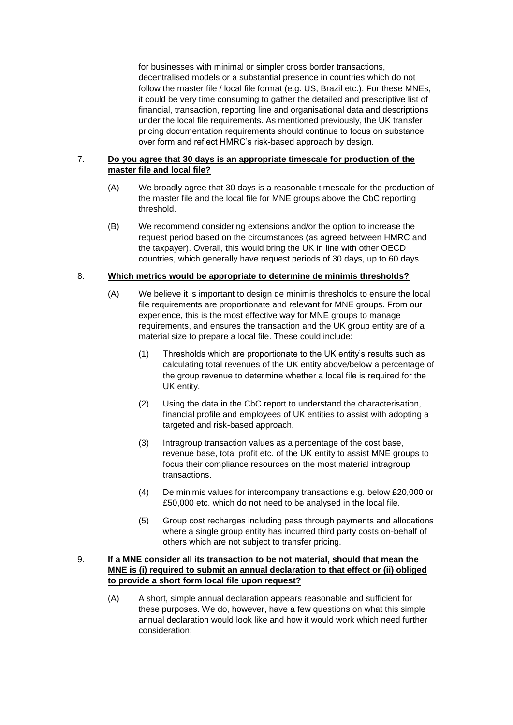for businesses with minimal or simpler cross border transactions, decentralised models or a substantial presence in countries which do not follow the master file / local file format (e.g. US, Brazil etc.). For these MNEs, it could be very time consuming to gather the detailed and prescriptive list of financial, transaction, reporting line and organisational data and descriptions under the local file requirements. As mentioned previously, the UK transfer pricing documentation requirements should continue to focus on substance over form and reflect HMRC's risk-based approach by design.

# 7. **Do you agree that 30 days is an appropriate timescale for production of the master file and local file?**

- (A) We broadly agree that 30 days is a reasonable timescale for the production of the master file and the local file for MNE groups above the CbC reporting threshold.
- (B) We recommend considering extensions and/or the option to increase the request period based on the circumstances (as agreed between HMRC and the taxpayer). Overall, this would bring the UK in line with other OECD countries, which generally have request periods of 30 days, up to 60 days.

# 8. **Which metrics would be appropriate to determine de minimis thresholds?**

- (A) We believe it is important to design de minimis thresholds to ensure the local file requirements are proportionate and relevant for MNE groups. From our experience, this is the most effective way for MNE groups to manage requirements, and ensures the transaction and the UK group entity are of a material size to prepare a local file. These could include:
	- (1) Thresholds which are proportionate to the UK entity's results such as calculating total revenues of the UK entity above/below a percentage of the group revenue to determine whether a local file is required for the UK entity.
	- (2) Using the data in the CbC report to understand the characterisation, financial profile and employees of UK entities to assist with adopting a targeted and risk-based approach.
	- (3) Intragroup transaction values as a percentage of the cost base, revenue base, total profit etc. of the UK entity to assist MNE groups to focus their compliance resources on the most material intragroup transactions.
	- (4) De minimis values for intercompany transactions e.g. below £20,000 or £50,000 etc. which do not need to be analysed in the local file.
	- (5) Group cost recharges including pass through payments and allocations where a single group entity has incurred third party costs on-behalf of others which are not subject to transfer pricing.

#### 9. **If a MNE consider all its transaction to be not material, should that mean the MNE is (i) required to submit an annual declaration to that effect or (ii) obliged to provide a short form local file upon request?**

(A) A short, simple annual declaration appears reasonable and sufficient for these purposes. We do, however, have a few questions on what this simple annual declaration would look like and how it would work which need further consideration;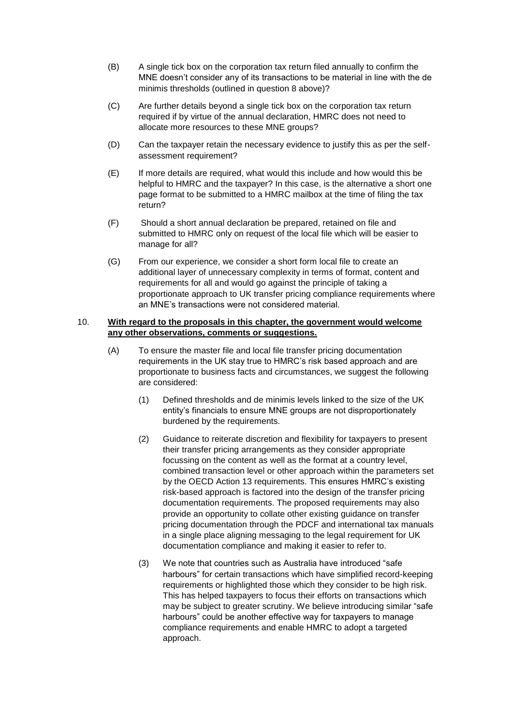- (B) A single tick box on the corporation tax return filed annually to confirm the MNE doesn't consider any of its transactions to be material in line with the de minimis thresholds (outlined in question 8 above)?
- (C) Are further details beyond a single tick box on the corporation tax return required if by virtue of the annual declaration, HMRC does not need to allocate more resources to these MNE groups?
- (D) Can the taxpayer retain the necessary evidence to justify this as per the selfassessment requirement?
- (E) If more details are required, what would this include and how would this be helpful to HMRC and the taxpayer? In this case, is the alternative a short one page format to be submitted to a HMRC mailbox at the time of filing the tax return?
- (F) Should a short annual declaration be prepared, retained on file and submitted to HMRC only on request of the local file which will be easier to manage for all?
- (G) From our experience, we consider a short form local file to create an additional layer of unnecessary complexity in terms of format, content and requirements for all and would go against the principle of taking a proportionate approach to UK transfer pricing compliance requirements where an MNE's transactions were not considered material.

#### 10. **With regard to the proposals in this chapter, the government would welcome any other observations, comments or suggestions.**

- (A) To ensure the master file and local file transfer pricing documentation requirements in the UK stay true to HMRC's risk based approach and are proportionate to business facts and circumstances, we suggest the following are considered:
	- (1) Defined thresholds and de minimis levels linked to the size of the UK entity's financials to ensure MNE groups are not disproportionately burdened by the requirements.
	- (2) Guidance to reiterate discretion and flexibility for taxpayers to present their transfer pricing arrangements as they consider appropriate focussing on the content as well as the format at a country level, combined transaction level or other approach within the parameters set by the OECD Action 13 requirements. This ensures HMRC's existing risk-based approach is factored into the design of the transfer pricing documentation requirements. The proposed requirements may also provide an opportunity to collate other existing guidance on transfer pricing documentation through the PDCF and international tax manuals in a single place aligning messaging to the legal requirement for UK documentation compliance and making it easier to refer to.
	- (3) We note that countries such as Australia have introduced "safe harbours" for certain transactions which have simplified record-keeping requirements or highlighted those which they consider to be high risk. This has helped taxpayers to focus their efforts on transactions which may be subject to greater scrutiny. We believe introducing similar "safe harbours" could be another effective way for taxpayers to manage compliance requirements and enable HMRC to adopt a targeted approach.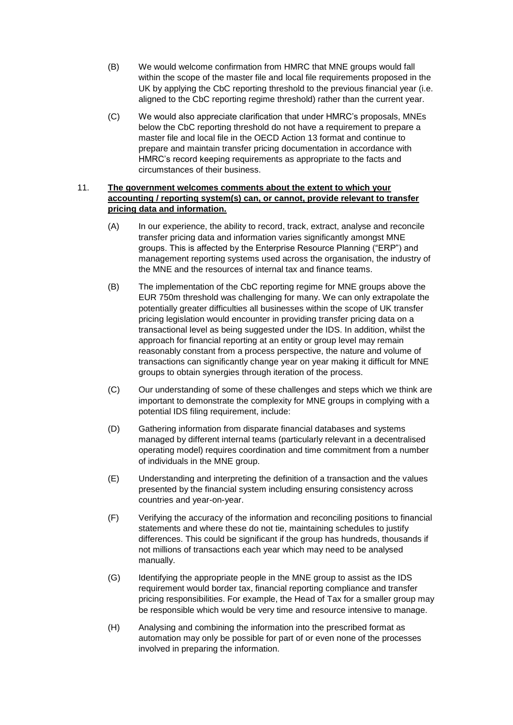- (B) We would welcome confirmation from HMRC that MNE groups would fall within the scope of the master file and local file requirements proposed in the UK by applying the CbC reporting threshold to the previous financial year (i.e. aligned to the CbC reporting regime threshold) rather than the current year.
- (C) We would also appreciate clarification that under HMRC's proposals, MNEs below the CbC reporting threshold do not have a requirement to prepare a master file and local file in the OECD Action 13 format and continue to prepare and maintain transfer pricing documentation in accordance with HMRC's record keeping requirements as appropriate to the facts and circumstances of their business.

### 11. **The government welcomes comments about the extent to which your accounting / reporting system(s) can, or cannot, provide relevant to transfer pricing data and information.**

- (A) In our experience, the ability to record, track, extract, analyse and reconcile transfer pricing data and information varies significantly amongst MNE groups. This is affected by the Enterprise Resource Planning ("ERP") and management reporting systems used across the organisation, the industry of the MNE and the resources of internal tax and finance teams.
- (B) The implementation of the CbC reporting regime for MNE groups above the EUR 750m threshold was challenging for many. We can only extrapolate the potentially greater difficulties all businesses within the scope of UK transfer pricing legislation would encounter in providing transfer pricing data on a transactional level as being suggested under the IDS. In addition, whilst the approach for financial reporting at an entity or group level may remain reasonably constant from a process perspective, the nature and volume of transactions can significantly change year on year making it difficult for MNE groups to obtain synergies through iteration of the process.
- (C) Our understanding of some of these challenges and steps which we think are important to demonstrate the complexity for MNE groups in complying with a potential IDS filing requirement, include:
- (D) Gathering information from disparate financial databases and systems managed by different internal teams (particularly relevant in a decentralised operating model) requires coordination and time commitment from a number of individuals in the MNE group.
- (E) Understanding and interpreting the definition of a transaction and the values presented by the financial system including ensuring consistency across countries and year-on-year.
- (F) Verifying the accuracy of the information and reconciling positions to financial statements and where these do not tie, maintaining schedules to justify differences. This could be significant if the group has hundreds, thousands if not millions of transactions each year which may need to be analysed manually.
- (G) Identifying the appropriate people in the MNE group to assist as the IDS requirement would border tax, financial reporting compliance and transfer pricing responsibilities. For example, the Head of Tax for a smaller group may be responsible which would be very time and resource intensive to manage.
- (H) Analysing and combining the information into the prescribed format as automation may only be possible for part of or even none of the processes involved in preparing the information.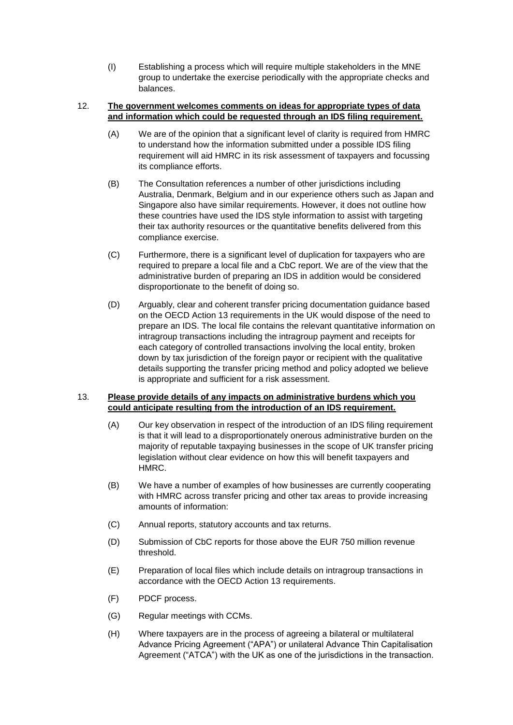(I) Establishing a process which will require multiple stakeholders in the MNE group to undertake the exercise periodically with the appropriate checks and balances.

#### 12. **The government welcomes comments on ideas for appropriate types of data and information which could be requested through an IDS filing requirement.**

- (A) We are of the opinion that a significant level of clarity is required from HMRC to understand how the information submitted under a possible IDS filing requirement will aid HMRC in its risk assessment of taxpayers and focussing its compliance efforts.
- (B) The Consultation references a number of other jurisdictions including Australia, Denmark, Belgium and in our experience others such as Japan and Singapore also have similar requirements. However, it does not outline how these countries have used the IDS style information to assist with targeting their tax authority resources or the quantitative benefits delivered from this compliance exercise.
- (C) Furthermore, there is a significant level of duplication for taxpayers who are required to prepare a local file and a CbC report. We are of the view that the administrative burden of preparing an IDS in addition would be considered disproportionate to the benefit of doing so.
- (D) Arguably, clear and coherent transfer pricing documentation guidance based on the OECD Action 13 requirements in the UK would dispose of the need to prepare an IDS. The local file contains the relevant quantitative information on intragroup transactions including the intragroup payment and receipts for each category of controlled transactions involving the local entity, broken down by tax jurisdiction of the foreign payor or recipient with the qualitative details supporting the transfer pricing method and policy adopted we believe is appropriate and sufficient for a risk assessment.

# 13. **Please provide details of any impacts on administrative burdens which you could anticipate resulting from the introduction of an IDS requirement.**

- (A) Our key observation in respect of the introduction of an IDS filing requirement is that it will lead to a disproportionately onerous administrative burden on the majority of reputable taxpaying businesses in the scope of UK transfer pricing legislation without clear evidence on how this will benefit taxpayers and HMRC.
- (B) We have a number of examples of how businesses are currently cooperating with HMRC across transfer pricing and other tax areas to provide increasing amounts of information:
- (C) Annual reports, statutory accounts and tax returns.
- (D) Submission of CbC reports for those above the EUR 750 million revenue threshold.
- (E) Preparation of local files which include details on intragroup transactions in accordance with the OECD Action 13 requirements.
- (F) PDCF process.
- (G) Regular meetings with CCMs.
- (H) Where taxpayers are in the process of agreeing a bilateral or multilateral Advance Pricing Agreement ("APA") or unilateral Advance Thin Capitalisation Agreement ("ATCA") with the UK as one of the jurisdictions in the transaction.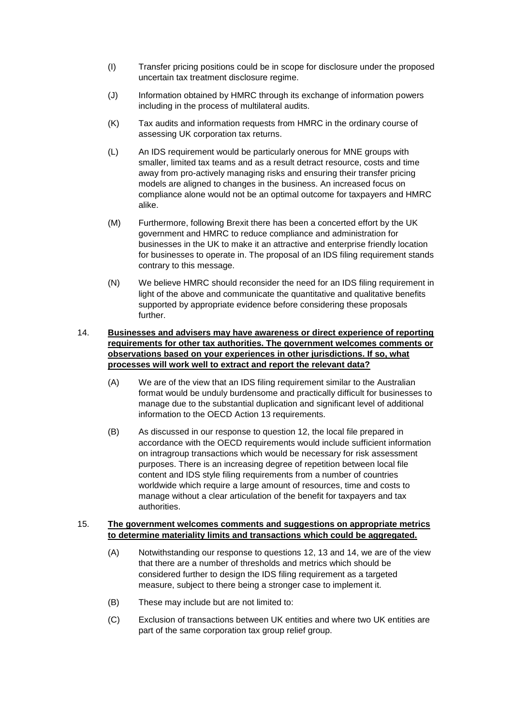- (I) Transfer pricing positions could be in scope for disclosure under the proposed uncertain tax treatment disclosure regime.
- (J) Information obtained by HMRC through its exchange of information powers including in the process of multilateral audits.
- (K) Tax audits and information requests from HMRC in the ordinary course of assessing UK corporation tax returns.
- (L) An IDS requirement would be particularly onerous for MNE groups with smaller, limited tax teams and as a result detract resource, costs and time away from pro-actively managing risks and ensuring their transfer pricing models are aligned to changes in the business. An increased focus on compliance alone would not be an optimal outcome for taxpayers and HMRC alike.
- (M) Furthermore, following Brexit there has been a concerted effort by the UK government and HMRC to reduce compliance and administration for businesses in the UK to make it an attractive and enterprise friendly location for businesses to operate in. The proposal of an IDS filing requirement stands contrary to this message.
- (N) We believe HMRC should reconsider the need for an IDS filing requirement in light of the above and communicate the quantitative and qualitative benefits supported by appropriate evidence before considering these proposals further.

### 14. **Businesses and advisers may have awareness or direct experience of reporting requirements for other tax authorities. The government welcomes comments or observations based on your experiences in other jurisdictions. If so, what processes will work well to extract and report the relevant data?**

- (A) We are of the view that an IDS filing requirement similar to the Australian format would be unduly burdensome and practically difficult for businesses to manage due to the substantial duplication and significant level of additional information to the OECD Action 13 requirements.
- (B) As discussed in our response to question 12, the local file prepared in accordance with the OECD requirements would include sufficient information on intragroup transactions which would be necessary for risk assessment purposes. There is an increasing degree of repetition between local file content and IDS style filing requirements from a number of countries worldwide which require a large amount of resources, time and costs to manage without a clear articulation of the benefit for taxpayers and tax authorities.

#### 15. **The government welcomes comments and suggestions on appropriate metrics to determine materiality limits and transactions which could be aggregated.**

- (A) Notwithstanding our response to questions 12, 13 and 14, we are of the view that there are a number of thresholds and metrics which should be considered further to design the IDS filing requirement as a targeted measure, subject to there being a stronger case to implement it.
- (B) These may include but are not limited to:
- (C) Exclusion of transactions between UK entities and where two UK entities are part of the same corporation tax group relief group.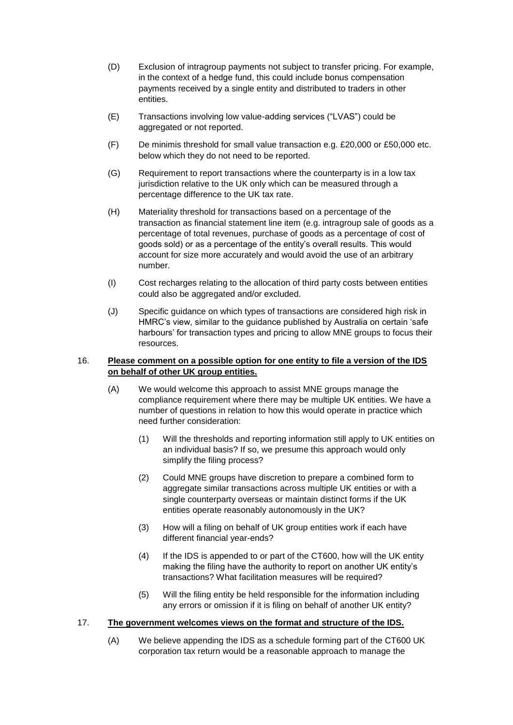- (D) Exclusion of intragroup payments not subject to transfer pricing. For example, in the context of a hedge fund, this could include bonus compensation payments received by a single entity and distributed to traders in other entities.
- (E) Transactions involving low value-adding services ("LVAS") could be aggregated or not reported.
- (F) De minimis threshold for small value transaction e.g. £20,000 or £50,000 etc. below which they do not need to be reported.
- (G) Requirement to report transactions where the counterparty is in a low tax jurisdiction relative to the UK only which can be measured through a percentage difference to the UK tax rate.
- (H) Materiality threshold for transactions based on a percentage of the transaction as financial statement line item (e.g. intragroup sale of goods as a percentage of total revenues, purchase of goods as a percentage of cost of goods sold) or as a percentage of the entity's overall results. This would account for size more accurately and would avoid the use of an arbitrary number.
- (I) Cost recharges relating to the allocation of third party costs between entities could also be aggregated and/or excluded.
- (J) Specific guidance on which types of transactions are considered high risk in HMRC's view, similar to the guidance published by Australia on certain 'safe harbours' for transaction types and pricing to allow MNE groups to focus their resources.

#### 16. **Please comment on a possible option for one entity to file a version of the IDS on behalf of other UK group entities.**

- (A) We would welcome this approach to assist MNE groups manage the compliance requirement where there may be multiple UK entities. We have a number of questions in relation to how this would operate in practice which need further consideration:
	- (1) Will the thresholds and reporting information still apply to UK entities on an individual basis? If so, we presume this approach would only simplify the filing process?
	- (2) Could MNE groups have discretion to prepare a combined form to aggregate similar transactions across multiple UK entities or with a single counterparty overseas or maintain distinct forms if the UK entities operate reasonably autonomously in the UK?
	- (3) How will a filing on behalf of UK group entities work if each have different financial year-ends?
	- (4) If the IDS is appended to or part of the CT600, how will the UK entity making the filing have the authority to report on another UK entity's transactions? What facilitation measures will be required?
	- (5) Will the filing entity be held responsible for the information including any errors or omission if it is filing on behalf of another UK entity?

### 17. **The government welcomes views on the format and structure of the IDS.**

(A) We believe appending the IDS as a schedule forming part of the CT600 UK corporation tax return would be a reasonable approach to manage the